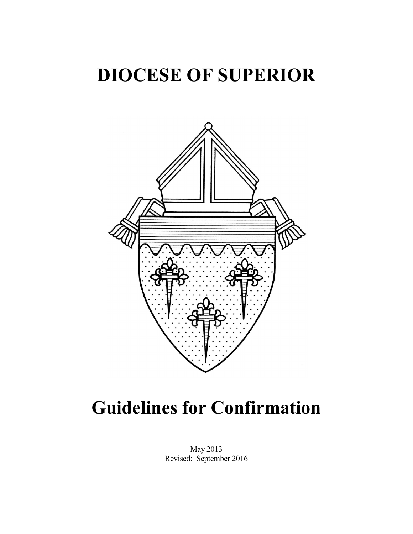## DIOCESE OF SUPERIOR



# Guidelines for Confirmation

May 2013 Revised: September 2016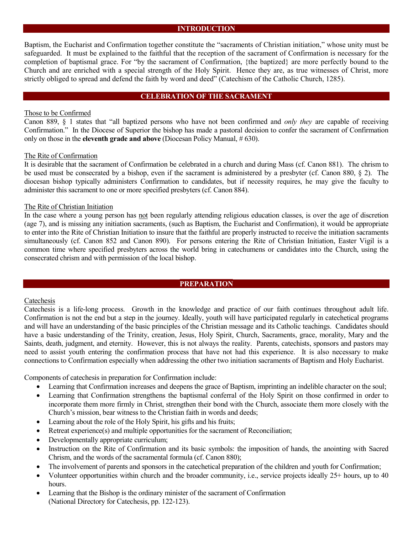## INTRODUCTION

Baptism, the Eucharist and Confirmation together constitute the "sacraments of Christian initiation," whose unity must be safeguarded. It must be explained to the faithful that the reception of the sacrament of Confirmation is necessary for the completion of baptismal grace. For "by the sacrament of Confirmation, {the baptized} are more perfectly bound to the Church and are enriched with a special strength of the Holy Spirit. Hence they are, as true witnesses of Christ, more strictly obliged to spread and defend the faith by word and deed" (Catechism of the Catholic Church, 1285).

## CELEBRATION OF THE SACRAMENT

## Those to be Confirmed

Canon 889, § 1 states that "all baptized persons who have not been confirmed and *only they* are capable of receiving Confirmation." In the Diocese of Superior the bishop has made a pastoral decision to confer the sacrament of Confirmation only on those in the eleventh grade and above (Diocesan Policy Manual,  $\#$  630).

#### The Rite of Confirmation

It is desirable that the sacrament of Confirmation be celebrated in a church and during Mass (cf. Canon 881). The chrism to be used must be consecrated by a bishop, even if the sacrament is administered by a presbyter (cf. Canon 880, § 2). The diocesan bishop typically administers Confirmation to candidates, but if necessity requires, he may give the faculty to administer this sacrament to one or more specified presbyters (cf. Canon 884).

#### The Rite of Christian Initiation

In the case where a young person has not been regularly attending religious education classes, is over the age of discretion (age 7), and is missing any initiation sacraments, (such as Baptism, the Eucharist and Confirmation), it would be appropriate to enter into the Rite of Christian Initiation to insure that the faithful are properly instructed to receive the initiation sacraments simultaneously (cf. Canon 852 and Canon 890). For persons entering the Rite of Christian Initiation, Easter Vigil is a common time where specified presbyters across the world bring in catechumens or candidates into the Church, using the consecrated chrism and with permission of the local bishop.

## PREPARATION

## Catechesis

Catechesis is a life-long process. Growth in the knowledge and practice of our faith continues throughout adult life. Confirmation is not the end but a step in the journey. Ideally, youth will have participated regularly in catechetical programs and will have an understanding of the basic principles of the Christian message and its Catholic teachings. Candidates should have a basic understanding of the Trinity, creation, Jesus, Holy Spirit, Church, Sacraments, grace, morality, Mary and the Saints, death, judgment, and eternity. However, this is not always the reality. Parents, catechists, sponsors and pastors may need to assist youth entering the confirmation process that have not had this experience. It is also necessary to make connections to Confirmation especially when addressing the other two initiation sacraments of Baptism and Holy Eucharist.

Components of catechesis in preparation for Confirmation include:

- Learning that Confirmation increases and deepens the grace of Baptism, imprinting an indelible character on the soul;
- Learning that Confirmation strengthens the baptismal conferral of the Holy Spirit on those confirmed in order to incorporate them more firmly in Christ, strengthen their bond with the Church, associate them more closely with the Church's mission, bear witness to the Christian faith in words and deeds;
- Learning about the role of the Holy Spirit, his gifts and his fruits;
- Retreat experience(s) and multiple opportunities for the sacrament of Reconciliation;
- Developmentally appropriate curriculum;
- Instruction on the Rite of Confirmation and its basic symbols: the imposition of hands, the anointing with Sacred Chrism, and the words of the sacramental formula (cf. Canon 880);
- The involvement of parents and sponsors in the catechetical preparation of the children and youth for Confirmation;
- Volunteer opportunities within church and the broader community, i.e., service projects ideally 25+ hours, up to 40 hours.
- Learning that the Bishop is the ordinary minister of the sacrament of Confirmation (National Directory for Catechesis, pp. 122-123).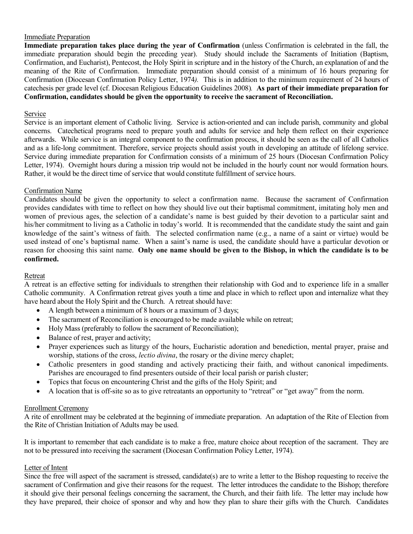## Immediate Preparation

Immediate preparation takes place during the year of Confirmation (unless Confirmation is celebrated in the fall, the immediate preparation should begin the preceding year). Study should include the Sacraments of Initiation (Baptism, Confirmation, and Eucharist), Pentecost, the Holy Spirit in scripture and in the history of the Church, an explanation of and the meaning of the Rite of Confirmation. Immediate preparation should consist of a minimum of 16 hours preparing for Confirmation (Diocesan Confirmation Policy Letter, 1974*).* This is in addition to the minimum requirement of 24 hours of catechesis per grade level (cf. Diocesan Religious Education Guidelines 2008)*.* As part of their immediate preparation for Confirmation, candidates should be given the opportunity to receive the sacrament of Reconciliation.

## Service

Service is an important element of Catholic living. Service is action-oriented and can include parish, community and global concerns. Catechetical programs need to prepare youth and adults for service and help them reflect on their experience afterwards. While service is an integral component to the confirmation process, it should be seen as the call of all Catholics and as a life-long commitment. Therefore, service projects should assist youth in developing an attitude of lifelong service. Service during immediate preparation for Confirmation consists of a minimum of 25 hours (Diocesan Confirmation Policy Letter, 1974). Overnight hours during a mission trip would not be included in the hourly count nor would formation hours. Rather, it would be the direct time of service that would constitute fulfillment of service hours.

## Confirmation Name

Candidates should be given the opportunity to select a confirmation name. Because the sacrament of Confirmation provides candidates with time to reflect on how they should live out their baptismal commitment, imitating holy men and women of previous ages, the selection of a candidate's name is best guided by their devotion to a particular saint and his/her commitment to living as a Catholic in today's world. It is recommended that the candidate study the saint and gain knowledge of the saint's witness of faith. The selected confirmation name (e.g., a name of a saint or virtue) would be used instead of one's baptismal name. When a saint's name is used, the candidate should have a particular devotion or reason for choosing this saint name. Only one name should be given to the Bishop, in which the candidate is to be confirmed.

## Retreat

A retreat is an effective setting for individuals to strengthen their relationship with God and to experience life in a smaller Catholic community. A Confirmation retreat gives youth a time and place in which to reflect upon and internalize what they have heard about the Holy Spirit and the Church. A retreat should have:

- A length between a minimum of 8 hours or a maximum of 3 days;
- The sacrament of Reconciliation is encouraged to be made available while on retreat;
- Holy Mass (preferably to follow the sacrament of Reconciliation);
- Balance of rest, prayer and activity;
- Prayer experiences such as liturgy of the hours, Eucharistic adoration and benediction, mental prayer, praise and worship, stations of the cross, *lectio divina*, the rosary or the divine mercy chaplet;
- Catholic presenters in good standing and actively practicing their faith, and without canonical impediments. Parishes are encouraged to find presenters outside of their local parish or parish cluster;
- Topics that focus on encountering Christ and the gifts of the Holy Spirit; and
- A location that is off-site so as to give retreatants an opportunity to "retreat" or "get away" from the norm.

## Enrollment Ceremony

A rite of enrollment may be celebrated at the beginning of immediate preparation. An adaptation of the Rite of Election from the Rite of Christian Initiation of Adults may be used.

It is important to remember that each candidate is to make a free, mature choice about reception of the sacrament. They are not to be pressured into receiving the sacrament (Diocesan Confirmation Policy Letter, 1974).

## Letter of Intent

Since the free will aspect of the sacrament is stressed, candidate(s) are to write a letter to the Bishop requesting to receive the sacrament of Confirmation and give their reasons for the request. The letter introduces the candidate to the Bishop; therefore it should give their personal feelings concerning the sacrament, the Church, and their faith life. The letter may include how they have prepared, their choice of sponsor and why and how they plan to share their gifts with the Church. Candidates